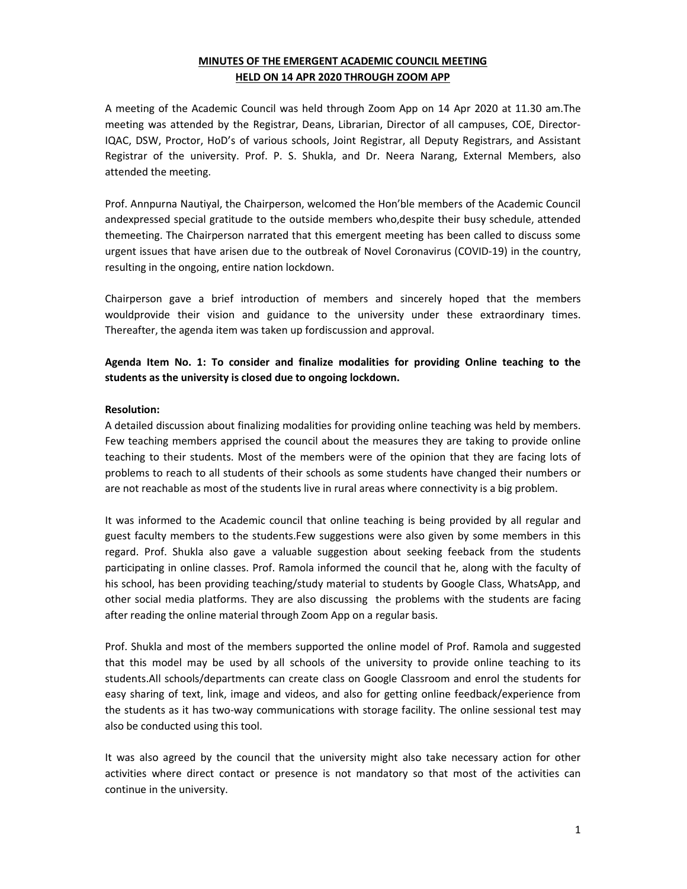## **MINUTES OF THE EMERGENT ACADEMIC COUNCIL MEETING HELD ON 14 APR 2020 THROUGH ZOOM APP**

A meeting of the Academic Council was held through Zoom App on 14 Apr 2020 at 11.30 am.The meeting was attended by the Registrar, Deans, Librarian, Director of all campuses, COE, Director-IQAC, DSW, Proctor, HoD's of various schools, Joint Registrar, all Deputy Registrars, and Assistant Registrar of the university. Prof. P. S. Shukla, and Dr. Neera Narang, External Members, also attended the meeting.

Prof. Annpurna Nautiyal, the Chairperson, welcomed the Hon'ble members of the Academic Council andexpressed special gratitude to the outside members who,despite their busy schedule, attended themeeting. The Chairperson narrated that this emergent meeting has been called to discuss some urgent issues that have arisen due to the outbreak of Novel Coronavirus (COVID-19) in the country, resulting in the ongoing, entire nation lockdown.

Chairperson gave a brief introduction of members and sincerely hoped that the members wouldprovide their vision and guidance to the university under these extraordinary times. Thereafter, the agenda item was taken up fordiscussion and approval.

**Agenda Item No. 1: To consider and finalize modalities for providing Online teaching to the students as the university is closed due to ongoing lockdown.** 

### **Resolution:**

A detailed discussion about finalizing modalities for providing online teaching was held by members. Few teaching members apprised the council about the measures they are taking to provide online teaching to their students. Most of the members were of the opinion that they are facing lots of problems to reach to all students of their schools as some students have changed their numbers or are not reachable as most of the students live in rural areas where connectivity is a big problem.

It was informed to the Academic council that online teaching is being provided by all regular and guest faculty members to the students.Few suggestions were also given by some members in this regard. Prof. Shukla also gave a valuable suggestion about seeking feeback from the students participating in online classes. Prof. Ramola informed the council that he, along with the faculty of his school, has been providing teaching/study material to students by Google Class, WhatsApp, and other social media platforms. They are also discussing the problems with the students are facing after reading the online material through Zoom App on a regular basis.

Prof. Shukla and most of the members supported the online model of Prof. Ramola and suggested that this model may be used by all schools of the university to provide online teaching to its students.All schools/departments can create class on Google Classroom and enrol the students for easy sharing of text, link, image and videos, and also for getting online feedback/experience from the students as it has two-way communications with storage facility. The online sessional test may also be conducted using this tool.

It was also agreed by the council that the university might also take necessary action for other activities where direct contact or presence is not mandatory so that most of the activities can continue in the university.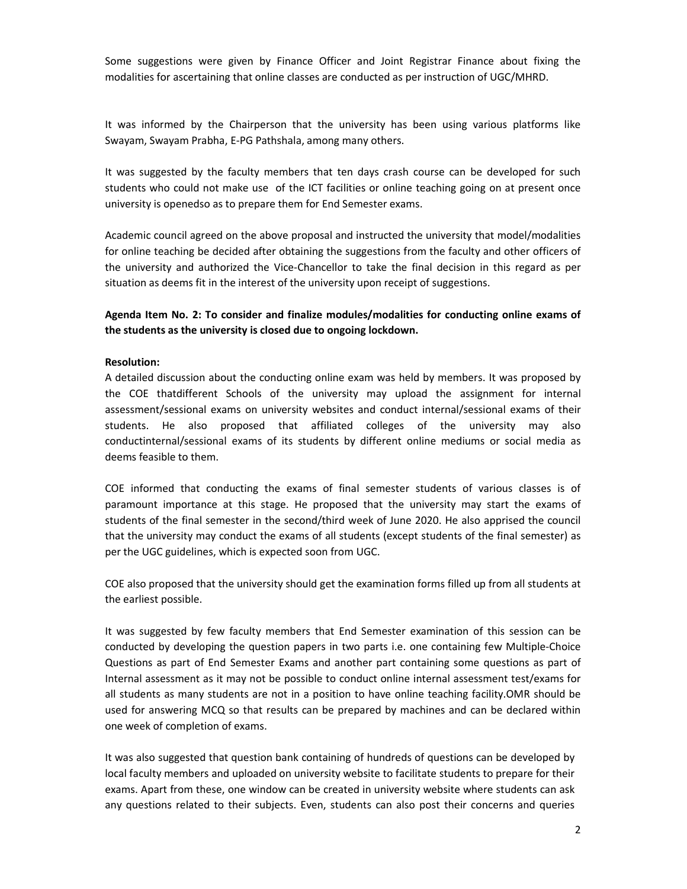Some suggestions were given by Finance Officer and Joint Registrar Finance about fixing the modalities for ascertaining that online classes are conducted as per instruction of UGC/MHRD.

It was informed by the Chairperson that the university has been using various platforms like Swayam, Swayam Prabha, E-PG Pathshala, among many others.

It was suggested by the faculty members that ten days crash course can be developed for such students who could not make use of the ICT facilities or online teaching going on at present once university is openedso as to prepare them for End Semester exams.

Academic council agreed on the above proposal and instructed the university that model/modalities for online teaching be decided after obtaining the suggestions from the faculty and other officers of the university and authorized the Vice-Chancellor to take the final decision in this regard as per situation as deems fit in the interest of the university upon receipt of suggestions.

**Agenda Item No. 2: To consider and finalize modules/modalities for conducting online exams of the students as the university is closed due to ongoing lockdown.** 

### **Resolution:**

A detailed discussion about the conducting online exam was held by members. It was proposed by the COE thatdifferent Schools of the university may upload the assignment for internal assessment/sessional exams on university websites and conduct internal/sessional exams of their students. He also proposed that affiliated colleges of the university may also conductinternal/sessional exams of its students by different online mediums or social media as deems feasible to them.

COE informed that conducting the exams of final semester students of various classes is of paramount importance at this stage. He proposed that the university may start the exams of students of the final semester in the second/third week of June 2020. He also apprised the council that the university may conduct the exams of all students (except students of the final semester) as per the UGC guidelines, which is expected soon from UGC.

COE also proposed that the university should get the examination forms filled up from all students at the earliest possible.

It was suggested by few faculty members that End Semester examination of this session can be conducted by developing the question papers in two parts i.e. one containing few Multiple-Choice Questions as part of End Semester Exams and another part containing some questions as part of Internal assessment as it may not be possible to conduct online internal assessment test/exams for all students as many students are not in a position to have online teaching facility.OMR should be used for answering MCQ so that results can be prepared by machines and can be declared within one week of completion of exams.

It was also suggested that question bank containing of hundreds of questions can be developed by local faculty members and uploaded on university website to facilitate students to prepare for their exams. Apart from these, one window can be created in university website where students can ask any questions related to their subjects. Even, students can also post their concerns and queries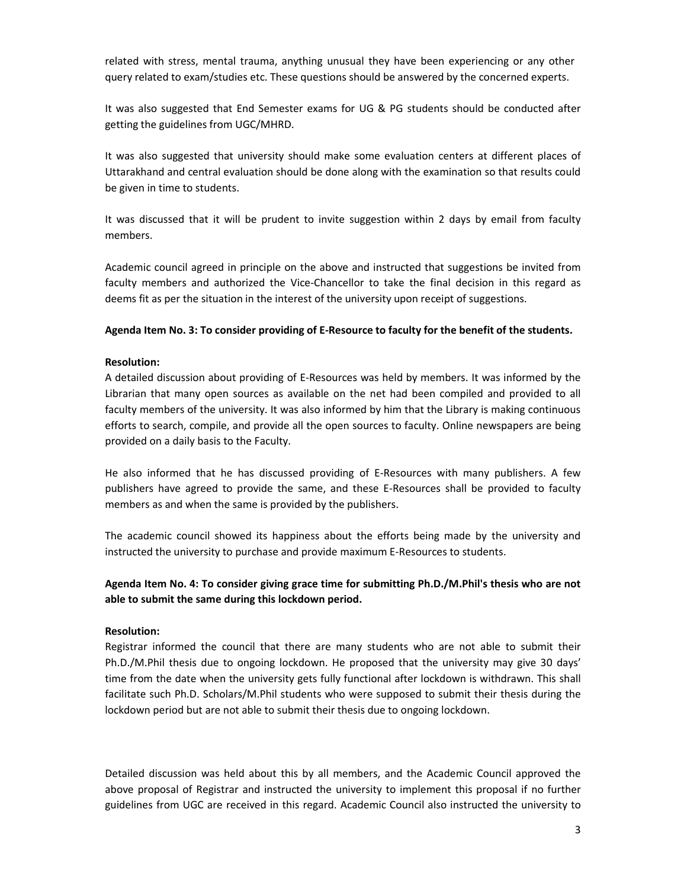related with stress, mental trauma, anything unusual they have been experiencing or any other query related to exam/studies etc. These questions should be answered by the concerned experts.

It was also suggested that End Semester exams for UG & PG students should be conducted after getting the guidelines from UGC/MHRD.

It was also suggested that university should make some evaluation centers at different places of Uttarakhand and central evaluation should be done along with the examination so that results could be given in time to students.

It was discussed that it will be prudent to invite suggestion within 2 days by email from faculty members.

Academic council agreed in principle on the above and instructed that suggestions be invited from faculty members and authorized the Vice-Chancellor to take the final decision in this regard as deems fit as per the situation in the interest of the university upon receipt of suggestions.

### **Agenda Item No. 3: To consider providing of E-Resource to faculty for the benefit of the students.**

### **Resolution:**

A detailed discussion about providing of E-Resources was held by members. It was informed by the Librarian that many open sources as available on the net had been compiled and provided to all faculty members of the university. It was also informed by him that the Library is making continuous efforts to search, compile, and provide all the open sources to faculty. Online newspapers are being provided on a daily basis to the Faculty.

He also informed that he has discussed providing of E-Resources with many publishers. A few publishers have agreed to provide the same, and these E-Resources shall be provided to faculty members as and when the same is provided by the publishers.

The academic council showed its happiness about the efforts being made by the university and instructed the university to purchase and provide maximum E-Resources to students.

## **Agenda Item No. 4: To consider giving grace time for submitting Ph.D./M.Phil's thesis who are not able to submit the same during this lockdown period.**

### **Resolution:**

Registrar informed the council that there are many students who are not able to submit their Ph.D./M.Phil thesis due to ongoing lockdown. He proposed that the university may give 30 days' time from the date when the university gets fully functional after lockdown is withdrawn. This shall facilitate such Ph.D. Scholars/M.Phil students who were supposed to submit their thesis during the lockdown period but are not able to submit their thesis due to ongoing lockdown.

Detailed discussion was held about this by all members, and the Academic Council approved the above proposal of Registrar and instructed the university to implement this proposal if no further guidelines from UGC are received in this regard. Academic Council also instructed the university to